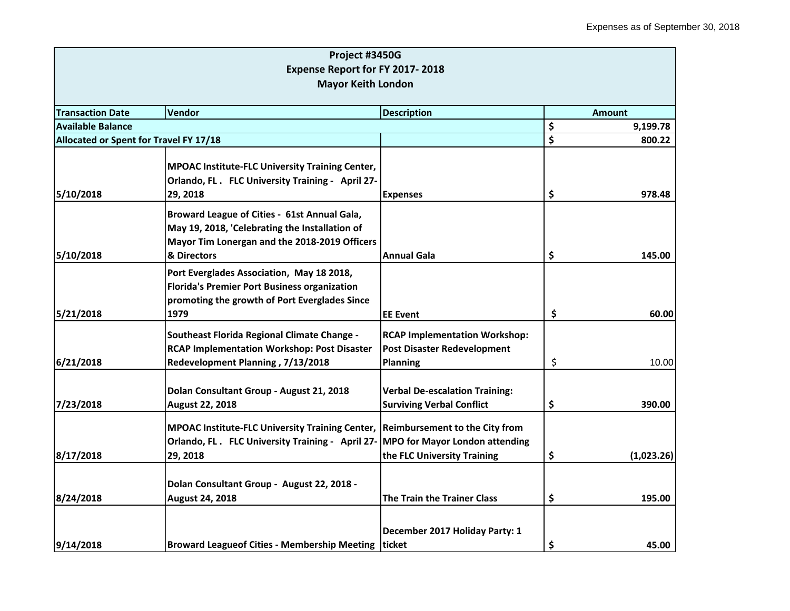|                                        | Project #3450G                                                                  |                                       |                  |
|----------------------------------------|---------------------------------------------------------------------------------|---------------------------------------|------------------|
|                                        | Expense Report for FY 2017-2018                                                 |                                       |                  |
|                                        | <b>Mayor Keith London</b>                                                       |                                       |                  |
|                                        |                                                                                 |                                       |                  |
| <b>Transaction Date</b>                | <b>Vendor</b>                                                                   | <b>Description</b>                    | <b>Amount</b>    |
| <b>Available Balance</b>               |                                                                                 |                                       | \$<br>9,199.78   |
| Allocated or Spent for Travel FY 17/18 |                                                                                 |                                       | \$<br>800.22     |
|                                        |                                                                                 |                                       |                  |
|                                        | <b>MPOAC Institute-FLC University Training Center,</b>                          |                                       |                  |
|                                        | Orlando, FL. FLC University Training - April 27-                                |                                       |                  |
| 5/10/2018                              | 29, 2018                                                                        | <b>Expenses</b>                       | \$<br>978.48     |
|                                        | Broward League of Cities - 61st Annual Gala,                                    |                                       |                  |
|                                        | May 19, 2018, 'Celebrating the Installation of                                  |                                       |                  |
|                                        | Mayor Tim Lonergan and the 2018-2019 Officers                                   |                                       |                  |
| 5/10/2018                              | & Directors                                                                     | <b>Annual Gala</b>                    | \$<br>145.00     |
|                                        | Port Everglades Association, May 18 2018,                                       |                                       |                  |
|                                        | <b>Florida's Premier Port Business organization</b>                             |                                       |                  |
|                                        | promoting the growth of Port Everglades Since                                   |                                       |                  |
| 5/21/2018                              | 1979                                                                            | <b>IEE Event</b>                      | \$<br>60.00      |
|                                        |                                                                                 |                                       |                  |
|                                        | Southeast Florida Regional Climate Change -                                     | <b>RCAP Implementation Workshop:</b>  |                  |
|                                        | <b>RCAP Implementation Workshop: Post Disaster</b>                              | <b>Post Disaster Redevelopment</b>    |                  |
| 6/21/2018                              | Redevelopment Planning, 7/13/2018                                               | <b>Planning</b>                       | \$<br>10.00      |
|                                        | Dolan Consultant Group - August 21, 2018                                        | <b>Verbal De-escalation Training:</b> |                  |
| 7/23/2018                              | August 22, 2018                                                                 | <b>Surviving Verbal Conflict</b>      | \$<br>390.00     |
|                                        |                                                                                 |                                       |                  |
|                                        | MPOAC Institute-FLC University Training Center, Reimbursement to the City from  |                                       |                  |
|                                        | Orlando, FL. FLC University Training - April 27- MPO for Mayor London attending |                                       |                  |
| 8/17/2018                              | 29, 2018                                                                        | the FLC University Training           | \$<br>(1,023.26) |
|                                        |                                                                                 |                                       |                  |
|                                        | Dolan Consultant Group - August 22, 2018 -                                      |                                       |                  |
| 8/24/2018                              | August 24, 2018                                                                 | <b>The Train the Trainer Class</b>    | \$<br>195.00     |
|                                        |                                                                                 | December 2017 Holiday Party: 1        |                  |
| 9/14/2018                              | <b>Broward Leagueof Cities - Membership Meeting</b>                             | <b>Iticket</b>                        | \$<br>45.00      |
|                                        |                                                                                 |                                       |                  |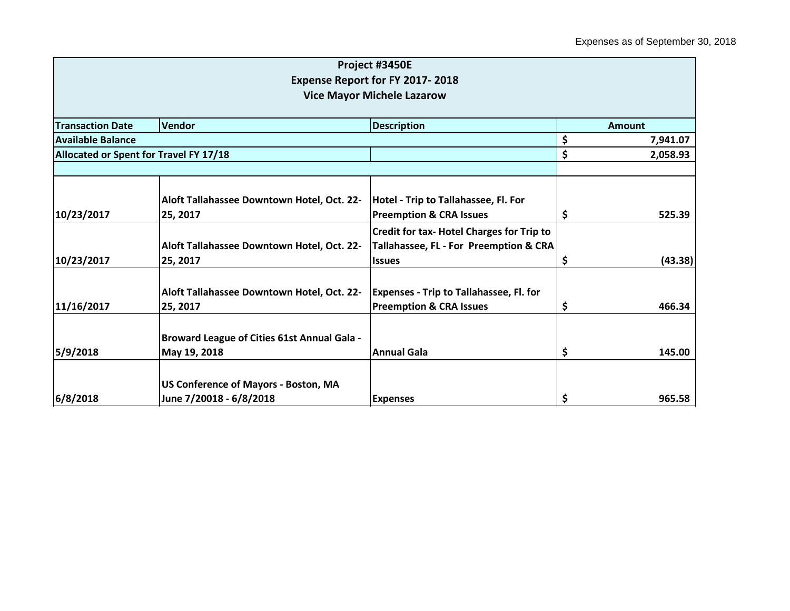| Vendor                                             | <b>Description</b>                                                                                                                                                                                                                |                                                                                                                                                                                                                                                                                                      | <b>Amount</b>                                          |
|----------------------------------------------------|-----------------------------------------------------------------------------------------------------------------------------------------------------------------------------------------------------------------------------------|------------------------------------------------------------------------------------------------------------------------------------------------------------------------------------------------------------------------------------------------------------------------------------------------------|--------------------------------------------------------|
|                                                    |                                                                                                                                                                                                                                   | \$                                                                                                                                                                                                                                                                                                   | 7,941.07                                               |
| Allocated or Spent for Travel FY 17/18             |                                                                                                                                                                                                                                   |                                                                                                                                                                                                                                                                                                      | 2,058.93                                               |
|                                                    |                                                                                                                                                                                                                                   |                                                                                                                                                                                                                                                                                                      |                                                        |
|                                                    |                                                                                                                                                                                                                                   |                                                                                                                                                                                                                                                                                                      |                                                        |
|                                                    |                                                                                                                                                                                                                                   |                                                                                                                                                                                                                                                                                                      |                                                        |
|                                                    |                                                                                                                                                                                                                                   |                                                                                                                                                                                                                                                                                                      | 525.39                                                 |
|                                                    |                                                                                                                                                                                                                                   |                                                                                                                                                                                                                                                                                                      |                                                        |
|                                                    |                                                                                                                                                                                                                                   |                                                                                                                                                                                                                                                                                                      |                                                        |
|                                                    | <b>Issues</b>                                                                                                                                                                                                                     | \$,                                                                                                                                                                                                                                                                                                  | (43.38)                                                |
|                                                    |                                                                                                                                                                                                                                   |                                                                                                                                                                                                                                                                                                      |                                                        |
| 25, 2017                                           | <b>Preemption &amp; CRA Issues</b>                                                                                                                                                                                                | \$                                                                                                                                                                                                                                                                                                   | 466.34                                                 |
|                                                    |                                                                                                                                                                                                                                   |                                                                                                                                                                                                                                                                                                      |                                                        |
| <b>Broward League of Cities 61st Annual Gala -</b> |                                                                                                                                                                                                                                   |                                                                                                                                                                                                                                                                                                      |                                                        |
| May 19, 2018                                       | Annual Gala                                                                                                                                                                                                                       | \$                                                                                                                                                                                                                                                                                                   | 145.00                                                 |
|                                                    |                                                                                                                                                                                                                                   |                                                                                                                                                                                                                                                                                                      |                                                        |
|                                                    |                                                                                                                                                                                                                                   |                                                                                                                                                                                                                                                                                                      | 965.58                                                 |
|                                                    | Aloft Tallahassee Downtown Hotel, Oct. 22-<br>25, 2017<br>Aloft Tallahassee Downtown Hotel, Oct. 22-<br>25, 2017<br>Aloft Tallahassee Downtown Hotel, Oct. 22-<br>US Conference of Mayors - Boston, MA<br>June 7/20018 - 6/8/2018 | Project #3450E<br><b>Expense Report for FY 2017-2018</b><br><b>Vice Mayor Michele Lazarow</b><br>Hotel - Trip to Tallahassee, Fl. For<br><b>Preemption &amp; CRA Issues</b><br><b>Credit for tax- Hotel Charges for Trip to</b><br><b>Expenses - Trip to Tallahassee, Fl. for</b><br><b>Expenses</b> | \$<br>Ş<br>Tallahassee, FL - For Preemption & CRA<br>Ş |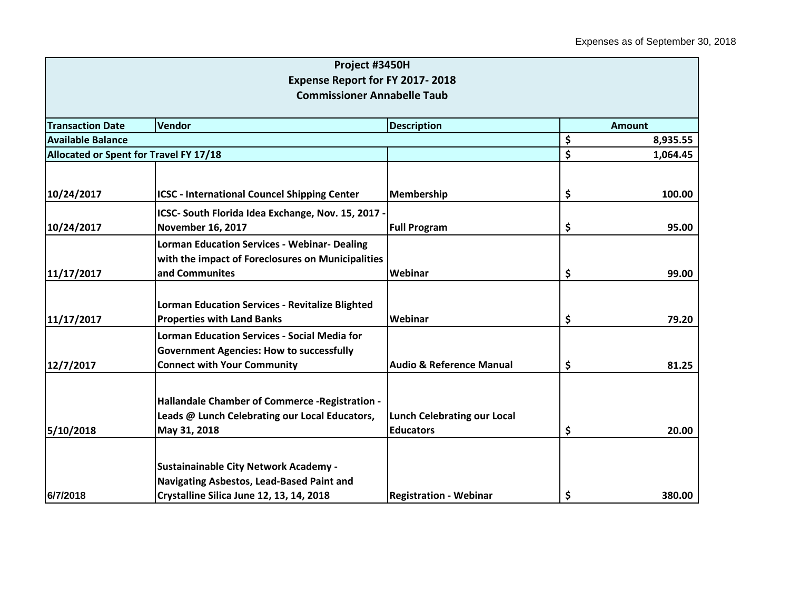|                                        | Project #3450H                                         |                                     |                |
|----------------------------------------|--------------------------------------------------------|-------------------------------------|----------------|
|                                        | Expense Report for FY 2017-2018                        |                                     |                |
|                                        | <b>Commissioner Annabelle Taub</b>                     |                                     |                |
|                                        |                                                        |                                     |                |
| <b>Transaction Date</b>                | Vendor                                                 | <b>Description</b>                  | <b>Amount</b>  |
| <b>Available Balance</b>               |                                                        |                                     | \$<br>8,935.55 |
| Allocated or Spent for Travel FY 17/18 |                                                        |                                     | \$<br>1,064.45 |
|                                        |                                                        |                                     |                |
| 10/24/2017                             | <b>ICSC - International Councel Shipping Center</b>    | Membership                          | \$<br>100.00   |
|                                        | ICSC- South Florida Idea Exchange, Nov. 15, 2017 -     |                                     |                |
| 10/24/2017                             | November 16, 2017                                      | <b>Full Program</b>                 | \$<br>95.00    |
|                                        | <b>Lorman Education Services - Webinar- Dealing</b>    |                                     |                |
|                                        | with the impact of Foreclosures on Municipalities      |                                     |                |
| 11/17/2017                             | and Communites                                         | Webinar                             | \$<br>99.00    |
|                                        |                                                        |                                     |                |
|                                        | <b>Lorman Education Services - Revitalize Blighted</b> |                                     |                |
| 11/17/2017                             | <b>Properties with Land Banks</b>                      | Webinar                             | \$<br>79.20    |
|                                        | <b>Lorman Education Services - Social Media for</b>    |                                     |                |
|                                        | <b>Government Agencies: How to successfully</b>        |                                     |                |
| 12/7/2017                              | <b>Connect with Your Community</b>                     | <b>Audio &amp; Reference Manual</b> | \$<br>81.25    |
|                                        |                                                        |                                     |                |
|                                        | Hallandale Chamber of Commerce - Registration -        |                                     |                |
|                                        | Leads @ Lunch Celebrating our Local Educators,         | <b>Lunch Celebrating our Local</b>  |                |
| 5/10/2018                              | May 31, 2018                                           | <b>Educators</b>                    | \$<br>20.00    |
|                                        |                                                        |                                     |                |
|                                        | <b>Sustainainable City Network Academy -</b>           |                                     |                |
|                                        | Navigating Asbestos, Lead-Based Paint and              |                                     |                |
| 6/7/2018                               | Crystalline Silica June 12, 13, 14, 2018               | <b>Registration - Webinar</b>       | \$<br>380.00   |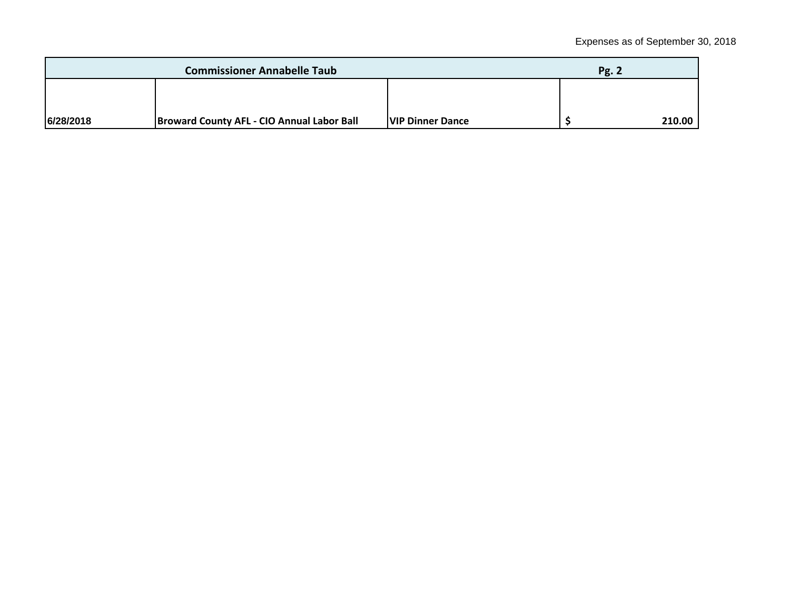| <b>Commissioner Annabelle Taub</b> |                                                   |                          | <b>Pg. 2</b> |        |
|------------------------------------|---------------------------------------------------|--------------------------|--------------|--------|
|                                    |                                                   |                          |              |        |
| 6/28/2018                          | <b>Broward County AFL - CIO Annual Labor Ball</b> | <b>IVIP Dinner Dance</b> |              | 210.00 |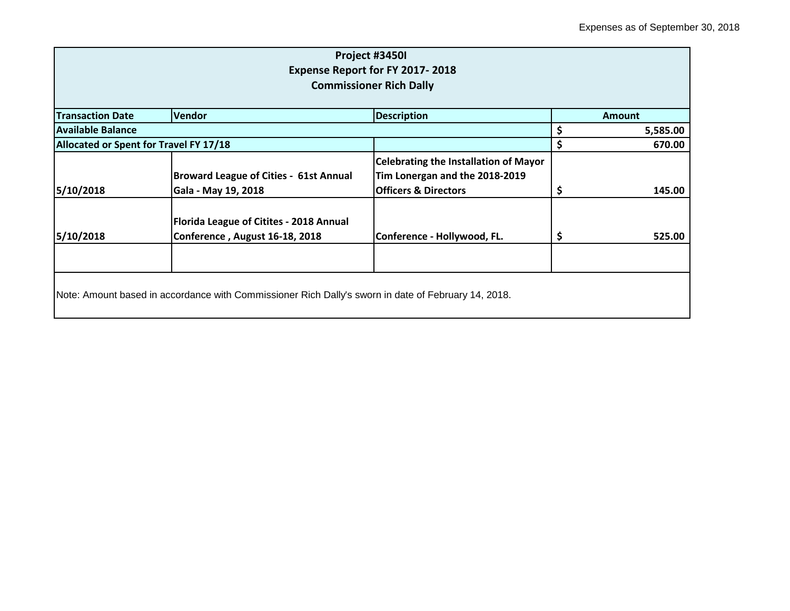| Project #3450I<br>Expense Report for FY 2017-2018<br><b>Commissioner Rich Dally</b> |                                                                                                     |                                                                                                                   |    |               |  |
|-------------------------------------------------------------------------------------|-----------------------------------------------------------------------------------------------------|-------------------------------------------------------------------------------------------------------------------|----|---------------|--|
| <b>Transaction Date</b>                                                             | <b>Vendor</b>                                                                                       | <b>Description</b>                                                                                                |    | <b>Amount</b> |  |
| <b>Available Balance</b>                                                            |                                                                                                     |                                                                                                                   | \$ | 5,585.00      |  |
| Allocated or Spent for Travel FY 17/18                                              |                                                                                                     |                                                                                                                   | \$ | 670.00        |  |
| 5/10/2018                                                                           | <b>Broward League of Cities - 61st Annual</b><br>Gala - May 19, 2018                                | <b>Celebrating the Installation of Mayor</b><br>Tim Lonergan and the 2018-2019<br><b>Officers &amp; Directors</b> | Ş  | 145.00        |  |
| 5/10/2018                                                                           | Florida League of Citites - 2018 Annual<br>Conference, August 16-18, 2018                           | Conference - Hollywood, FL.                                                                                       | \$ | 525.00        |  |
|                                                                                     | Note: Amount based in accordance with Commissioner Rich Dally's sworn in date of February 14, 2018. |                                                                                                                   |    |               |  |